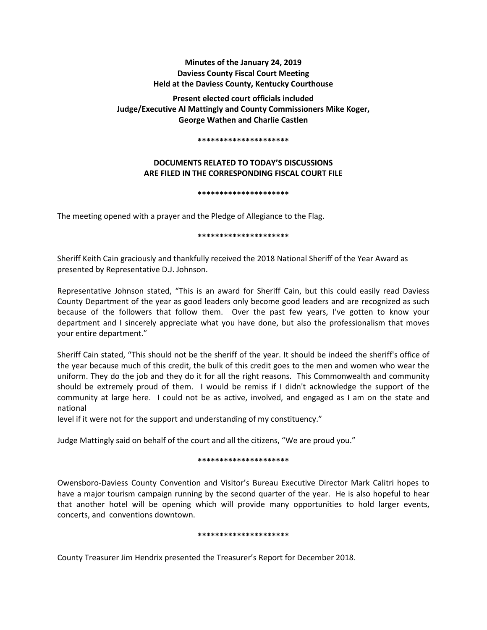# **Minutes of the January 24, 2019 Daviess County Fiscal Court Meeting Held at the Daviess County, Kentucky Courthouse**

**Present elected court officials included Judge/Executive Al Mattingly and County Commissioners Mike Koger, George Wathen and Charlie Castlen** 

#### **\*\*\*\*\*\*\*\*\*\*\*\*\*\*\*\*\*\*\*\*\***

# **DOCUMENTS RELATED TO TODAY'S DISCUSSIONS ARE FILED IN THE CORRESPONDING FISCAL COURT FILE**

## **\*\*\*\*\*\*\*\*\*\*\*\*\*\*\*\*\*\*\*\*\***

The meeting opened with a prayer and the Pledge of Allegiance to the Flag.

## **\*\*\*\*\*\*\*\*\*\*\*\*\*\*\*\*\*\*\*\*\***

Sheriff Keith Cain graciously and thankfully received the 2018 National Sheriff of the Year Award as presented by Representative D.J. Johnson.

Representative Johnson stated, "This is an award for Sheriff Cain, but this could easily read Daviess County Department of the year as good leaders only become good leaders and are recognized as such because of the followers that follow them. Over the past few years, I've gotten to know your department and I sincerely appreciate what you have done, but also the professionalism that moves your entire department."

Sheriff Cain stated, "This should not be the sheriff of the year. It should be indeed the sheriff's office of the year because much of this credit, the bulk of this credit goes to the men and women who wear the uniform. They do the job and they do it for all the right reasons. This Commonwealth and community should be extremely proud of them. I would be remiss if I didn't acknowledge the support of the community at large here. I could not be as active, involved, and engaged as I am on the state and national

level if it were not for the support and understanding of my constituency."

Judge Mattingly said on behalf of the court and all the citizens, "We are proud you."

## **\*\*\*\*\*\*\*\*\*\*\*\*\*\*\*\*\*\*\*\*\***

Owensboro-Daviess County Convention and Visitor's Bureau Executive Director Mark Calitri hopes to have a major tourism campaign running by the second quarter of the year. He is also hopeful to hear that another hotel will be opening which will provide many opportunities to hold larger events, concerts, and conventions downtown.

## **\*\*\*\*\*\*\*\*\*\*\*\*\*\*\*\*\*\*\*\*\***

County Treasurer Jim Hendrix presented the Treasurer's Report for December 2018.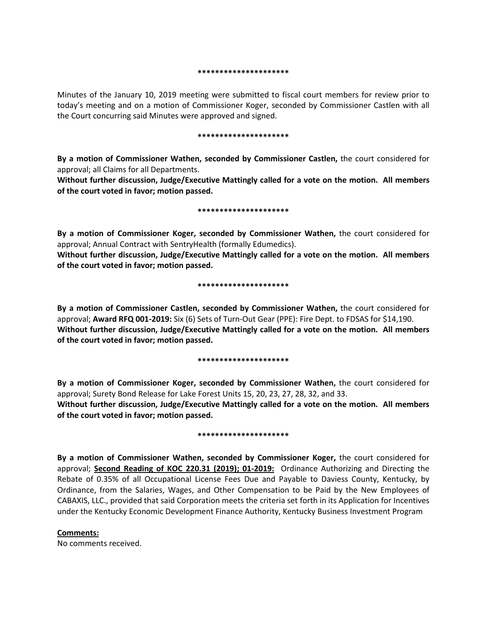#### **\*\*\*\*\*\*\*\*\*\*\*\*\*\*\*\*\*\*\*\*\***

Minutes of the January 10, 2019 meeting were submitted to fiscal court members for review prior to today's meeting and on a motion of Commissioner Koger, seconded by Commissioner Castlen with all the Court concurring said Minutes were approved and signed.

#### **\*\*\*\*\*\*\*\*\*\*\*\*\*\*\*\*\*\*\*\*\***

**By a motion of Commissioner Wathen, seconded by Commissioner Castlen,** the court considered for approval; all Claims for all Departments.

**Without further discussion, Judge/Executive Mattingly called for a vote on the motion. All members of the court voted in favor; motion passed.** 

#### **\*\*\*\*\*\*\*\*\*\*\*\*\*\*\*\*\*\*\*\*\***

**By a motion of Commissioner Koger, seconded by Commissioner Wathen,** the court considered for approval; Annual Contract with SentryHealth (formally Edumedics).

**Without further discussion, Judge/Executive Mattingly called for a vote on the motion. All members of the court voted in favor; motion passed.** 

## **\*\*\*\*\*\*\*\*\*\*\*\*\*\*\*\*\*\*\*\*\***

**By a motion of Commissioner Castlen, seconded by Commissioner Wathen,** the court considered for approval; **Award RFQ 001-2019:** Six (6) Sets of Turn-Out Gear (PPE): Fire Dept. to FDSAS for \$14,190. **Without further discussion, Judge/Executive Mattingly called for a vote on the motion. All members of the court voted in favor; motion passed.** 

#### **\*\*\*\*\*\*\*\*\*\*\*\*\*\*\*\*\*\*\*\*\***

**By a motion of Commissioner Koger, seconded by Commissioner Wathen,** the court considered for approval; Surety Bond Release for Lake Forest Units 15, 20, 23, 27, 28, 32, and 33. **Without further discussion, Judge/Executive Mattingly called for a vote on the motion. All members** 

#### **\*\*\*\*\*\*\*\*\*\*\*\*\*\*\*\*\*\*\*\*\***

**By a motion of Commissioner Wathen, seconded by Commissioner Koger,** the court considered for approval; **Second Reading of KOC 220.31 (2019); 01-2019:** Ordinance Authorizing and Directing the Rebate of 0.35% of all Occupational License Fees Due and Payable to Daviess County, Kentucky, by Ordinance, from the Salaries, Wages, and Other Compensation to be Paid by the New Employees of CABAXIS, LLC., provided that said Corporation meets the criteria set forth in its Application for Incentives under the Kentucky Economic Development Finance Authority, Kentucky Business Investment Program

## **Comments:**

No comments received.

**of the court voted in favor; motion passed.**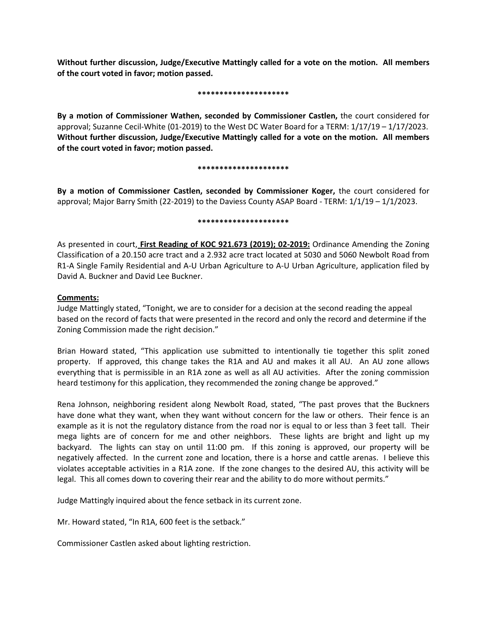**Without further discussion, Judge/Executive Mattingly called for a vote on the motion. All members of the court voted in favor; motion passed.** 

## **\*\*\*\*\*\*\*\*\*\*\*\*\*\*\*\*\*\*\*\*\***

**By a motion of Commissioner Wathen, seconded by Commissioner Castlen,** the court considered for approval; Suzanne Cecil-White (01-2019) to the West DC Water Board for a TERM: 1/17/19 – 1/17/2023. **Without further discussion, Judge/Executive Mattingly called for a vote on the motion. All members of the court voted in favor; motion passed.** 

## **\*\*\*\*\*\*\*\*\*\*\*\*\*\*\*\*\*\*\*\*\***

**By a motion of Commissioner Castlen, seconded by Commissioner Koger,** the court considered for approval; Major Barry Smith (22-2019) to the Daviess County ASAP Board - TERM: 1/1/19 – 1/1/2023.

## **\*\*\*\*\*\*\*\*\*\*\*\*\*\*\*\*\*\*\*\*\***

As presented in court, **First Reading of KOC 921.673 (2019); 02-2019:** Ordinance Amending the Zoning Classification of a 20.150 acre tract and a 2.932 acre tract located at 5030 and 5060 Newbolt Road from R1-A Single Family Residential and A-U Urban Agriculture to A-U Urban Agriculture, application filed by David A. Buckner and David Lee Buckner.

## **Comments:**

Judge Mattingly stated, "Tonight, we are to consider for a decision at the second reading the appeal based on the record of facts that were presented in the record and only the record and determine if the Zoning Commission made the right decision."

Brian Howard stated, "This application use submitted to intentionally tie together this split zoned property. If approved, this change takes the R1A and AU and makes it all AU. An AU zone allows everything that is permissible in an R1A zone as well as all AU activities. After the zoning commission heard testimony for this application, they recommended the zoning change be approved."

Rena Johnson, neighboring resident along Newbolt Road, stated, "The past proves that the Buckners have done what they want, when they want without concern for the law or others. Their fence is an example as it is not the regulatory distance from the road nor is equal to or less than 3 feet tall. Their mega lights are of concern for me and other neighbors. These lights are bright and light up my backyard. The lights can stay on until 11:00 pm. If this zoning is approved, our property will be negatively affected. In the current zone and location, there is a horse and cattle arenas. I believe this violates acceptable activities in a R1A zone. If the zone changes to the desired AU, this activity will be legal. This all comes down to covering their rear and the ability to do more without permits."

Judge Mattingly inquired about the fence setback in its current zone.

Mr. Howard stated, "In R1A, 600 feet is the setback."

Commissioner Castlen asked about lighting restriction.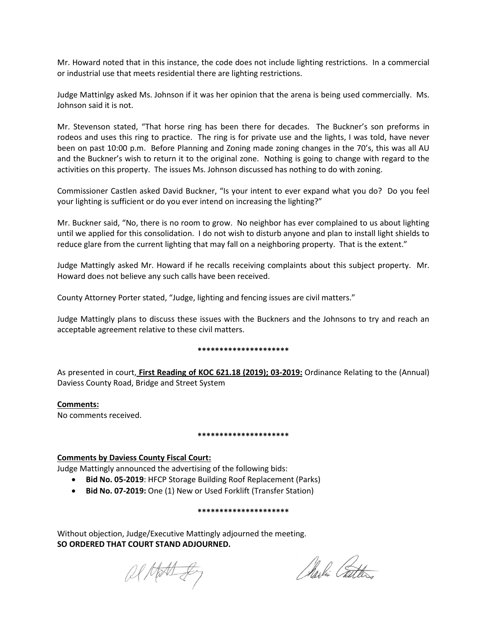Mr. Howard noted that in this instance, the code does not include lighting restrictions. In a commercial or industrial use that meets residential there are lighting restrictions.

Judge Mattinlgy asked Ms. Johnson if it was her opinion that the arena is being used commercially. Ms. Johnson said it is not.

Mr. Stevenson stated, "That horse ring has been there for decades. The Buckner's son preforms in rodeos and uses this ring to practice. The ring is for private use and the lights, I was told, have never been on past 10:00 p.m. Before Planning and Zoning made zoning changes in the 70's, this was all AU and the Buckner's wish to return it to the original zone. Nothing is going to change with regard to the activities on this property. The issues Ms. Johnson discussed has nothing to do with zoning.

Commissioner Castlen asked David Buckner, "Is your intent to ever expand what you do? Do you feel your lighting is sufficient or do you ever intend on increasing the lighting?"

Mr. Buckner said, "No, there is no room to grow. No neighbor has ever complained to us about lighting until we applied for this consolidation. I do not wish to disturb anyone and plan to install light shields to reduce glare from the current lighting that may fall on a neighboring property. That is the extent."

Judge Mattingly asked Mr. Howard if he recalls receiving complaints about this subject property. Mr. Howard does not believe any such calls have been received.

County Attorney Porter stated, "Judge, lighting and fencing issues are civil matters."

Judge Mattingly plans to discuss these issues with the Buckners and the Johnsons to try and reach an acceptable agreement relative to these civil matters.

## **\*\*\*\*\*\*\*\*\*\*\*\*\*\*\*\*\*\*\*\*\***

As presented in court, **First Reading of KOC 621.18 (2019); 03-2019:** Ordinance Relating to the (Annual) Daviess County Road, Bridge and Street System

## **Comments:**

No comments received.

## **\*\*\*\*\*\*\*\*\*\*\*\*\*\*\*\*\*\*\*\*\***

## **Comments by Daviess County Fiscal Court:**

Judge Mattingly announced the advertising of the following bids:

- **Bid No. 05-2019**: HFCP Storage Building Roof Replacement (Parks)
- **Bid No. 07-2019:** One (1) New or Used Forklift (Transfer Station)

## **\*\*\*\*\*\*\*\*\*\*\*\*\*\*\*\*\*\*\*\*\***

Without objection, Judge/Executive Mattingly adjourned the meeting. **SO ORDERED THAT COURT STAND ADJOURNED.**

Ol Matt gey

Marlin Catter